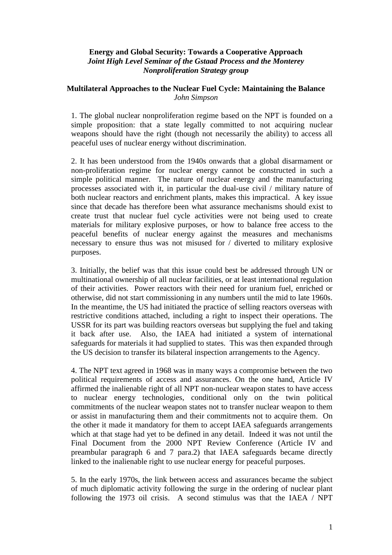## **Energy and Global Security: Towards a Cooperative Approach**  *Joint High Level Seminar of the Gstaad Process and the Monterey Nonproliferation Strategy group*

## **Multilateral Approaches to the Nuclear Fuel Cycle: Maintaining the Balance** *John Simpson*

1. The global nuclear nonproliferation regime based on the NPT is founded on a simple proposition: that a state legally committed to not acquiring nuclear weapons should have the right (though not necessarily the ability) to access all peaceful uses of nuclear energy without discrimination.

2. It has been understood from the 1940s onwards that a global disarmament or non-proliferation regime for nuclear energy cannot be constructed in such a simple political manner. The nature of nuclear energy and the manufacturing processes associated with it, in particular the dual-use civil / military nature of both nuclear reactors and enrichment plants, makes this impractical. A key issue since that decade has therefore been what assurance mechanisms should exist to create trust that nuclear fuel cycle activities were not being used to create materials for military explosive purposes, or how to balance free access to the peaceful benefits of nuclear energy against the measures and mechanisms necessary to ensure thus was not misused for / diverted to military explosive purposes.

3. Initially, the belief was that this issue could best be addressed through UN or multinational ownership of all nuclear facilities, or at least international regulation of their activities. Power reactors with their need for uranium fuel, enriched or otherwise, did not start commissioning in any numbers until the mid to late 1960s. In the meantime, the US had initiated the practice of selling reactors overseas with restrictive conditions attached, including a right to inspect their operations. The USSR for its part was building reactors overseas but supplying the fuel and taking it back after use. Also, the IAEA had initiated a system of international safeguards for materials it had supplied to states. This was then expanded through the US decision to transfer its bilateral inspection arrangements to the Agency.

4. The NPT text agreed in 1968 was in many ways a compromise between the two political requirements of access and assurances. On the one hand, Article IV affirmed the inalienable right of all NPT non-nuclear weapon states to have access to nuclear energy technologies, conditional only on the twin political commitments of the nuclear weapon states not to transfer nuclear weapon to them or assist in manufacturing them and their commitments not to acquire them. On the other it made it mandatory for them to accept IAEA safeguards arrangements which at that stage had yet to be defined in any detail. Indeed it was not until the Final Document from the 2000 NPT Review Conference (Article IV and preambular paragraph 6 and 7 para.2) that IAEA safeguards became directly linked to the inalienable right to use nuclear energy for peaceful purposes.

5. In the early 1970s, the link between access and assurances became the subject of much diplomatic activity following the surge in the ordering of nuclear plant following the 1973 oil crisis. A second stimulus was that the IAEA / NPT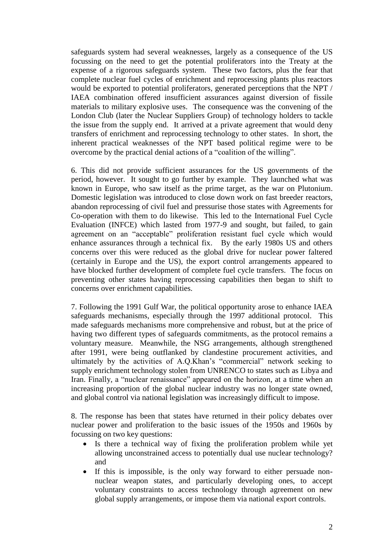safeguards system had several weaknesses, largely as a consequence of the US focussing on the need to get the potential proliferators into the Treaty at the expense of a rigorous safeguards system. These two factors, plus the fear that complete nuclear fuel cycles of enrichment and reprocessing plants plus reactors would be exported to potential proliferators, generated perceptions that the NPT / IAEA combination offered insufficient assurances against diversion of fissile materials to military explosive uses. The consequence was the convening of the London Club (later the Nuclear Suppliers Group) of technology holders to tackle the issue from the supply end. It arrived at a private agreement that would deny transfers of enrichment and reprocessing technology to other states. In short, the inherent practical weaknesses of the NPT based political regime were to be overcome by the practical denial actions of a "coalition of the willing".

6. This did not provide sufficient assurances for the US governments of the period, however. It sought to go further by example. They launched what was known in Europe, who saw itself as the prime target, as the war on Plutonium. Domestic legislation was introduced to close down work on fast breeder reactors, abandon reprocessing of civil fuel and pressurise those states with Agreements for Co-operation with them to do likewise. This led to the International Fuel Cycle Evaluation (INFCE) which lasted from 1977-9 and sought, but failed, to gain agreement on an "acceptable" proliferation resistant fuel cycle which would enhance assurances through a technical fix. By the early 1980s US and others concerns over this were reduced as the global drive for nuclear power faltered (certainly in Europe and the US), the export control arrangements appeared to have blocked further development of complete fuel cycle transfers. The focus on preventing other states having reprocessing capabilities then began to shift to concerns over enrichment capabilities.

7. Following the 1991 Gulf War, the political opportunity arose to enhance IAEA safeguards mechanisms, especially through the 1997 additional protocol. This made safeguards mechanisms more comprehensive and robust, but at the price of having two different types of safeguards commitments, as the protocol remains a voluntary measure. Meanwhile, the NSG arrangements, although strengthened after 1991, were being outflanked by clandestine procurement activities, and ultimately by the activities of A.Q.Khan's "commercial" network seeking to supply enrichment technology stolen from UNRENCO to states such as Libya and Iran. Finally, a "nuclear renaissance" appeared on the horizon, at a time when an increasing proportion of the global nuclear industry was no longer state owned, and global control via national legislation was increasingly difficult to impose.

8. The response has been that states have returned in their policy debates over nuclear power and proliferation to the basic issues of the 1950s and 1960s by focussing on two key questions:

- Is there a technical way of fixing the proliferation problem while yet allowing unconstrained access to potentially dual use nuclear technology? and
- If this is impossible, is the only way forward to either persuade nonnuclear weapon states, and particularly developing ones, to accept voluntary constraints to access technology through agreement on new global supply arrangements, or impose them via national export controls.